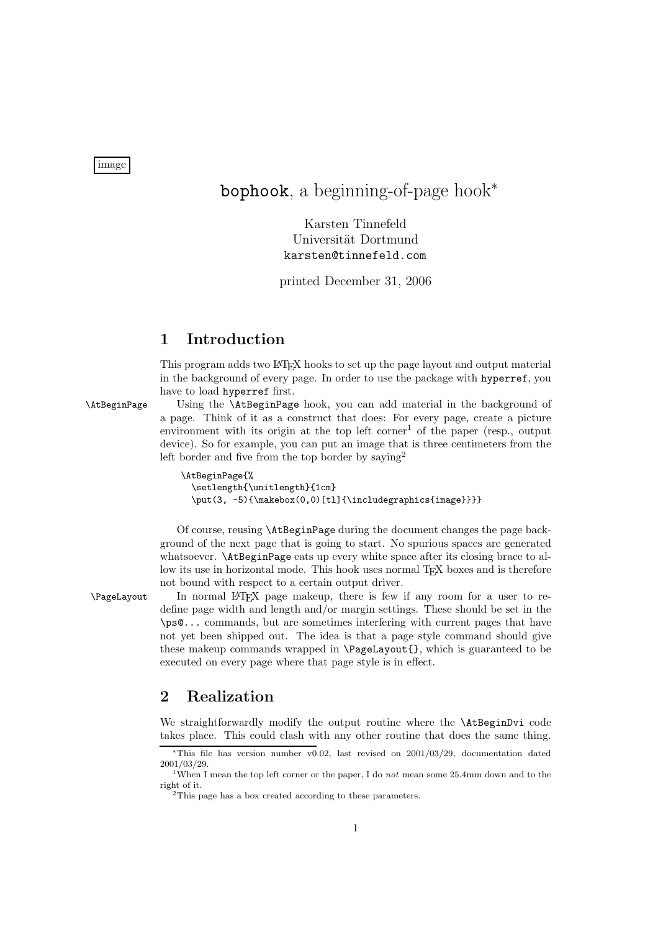image

# bophook, a beginning-of-page hook<sup>∗</sup>

Karsten Tinnefeld Universität Dortmund karsten@tinnefeld.com

printed December 31, 2006

## **1 Introduction**

This program adds two LATEX hooks to set up the page layout and output material in the background of every page. In order to use the package with hyperref, you have to load hyperref first.

\AtBeginPage Using the \AtBeginPage hook, you can add material in the background of a page. Think of it as a construct that does: For every page, create a picture environment with its origin at the top left corner<sup>1</sup> of the paper (resp., output device). So for example, you can put an image that is three centimeters from the left border and five from the top border by saying<sup>2</sup>

```
\AtBeginPage{%
\setlength{\unitlength}{1cm}
\put(3, -5){\makebox(0,0)[tl]{\includegraphics{image}}}}
```
Of course, reusing \AtBeginPage during the document changes the page background of the next page that is going to start. No spurious spaces are generated whatsoever. **\AtBeginPage** eats up every white space after its closing brace to allow its use in horizontal mode. This hook uses normal T<sub>EX</sub> boxes and is therefore not bound with respect to a certain output driver.

\PageLayout In normal LATEX page makeup, there is few if any room for a user to redefine page width and length and/or margin settings. These should be set in the \ps@... commands, but are sometimes interfering with current pages that have not yet been shipped out. The idea is that a page style command should give these makeup commands wrapped in \PageLayout{}, which is guaranteed to be executed on every page where that page style is in effect.

### **2 Realization**

We straightforwardly modify the output routine where the **\AtBeginDvi** code takes place. This could clash with any other routine that does the same thing.

<sup>∗</sup>This file has version number v0.02, last revised on 2001/03/29, documentation dated 2001/03/29.

<sup>1</sup>When I mean the top left corner or the paper, I do *not* mean some 25.4mm down and to the right of it.

 $2$ This page has a box created according to these parameters.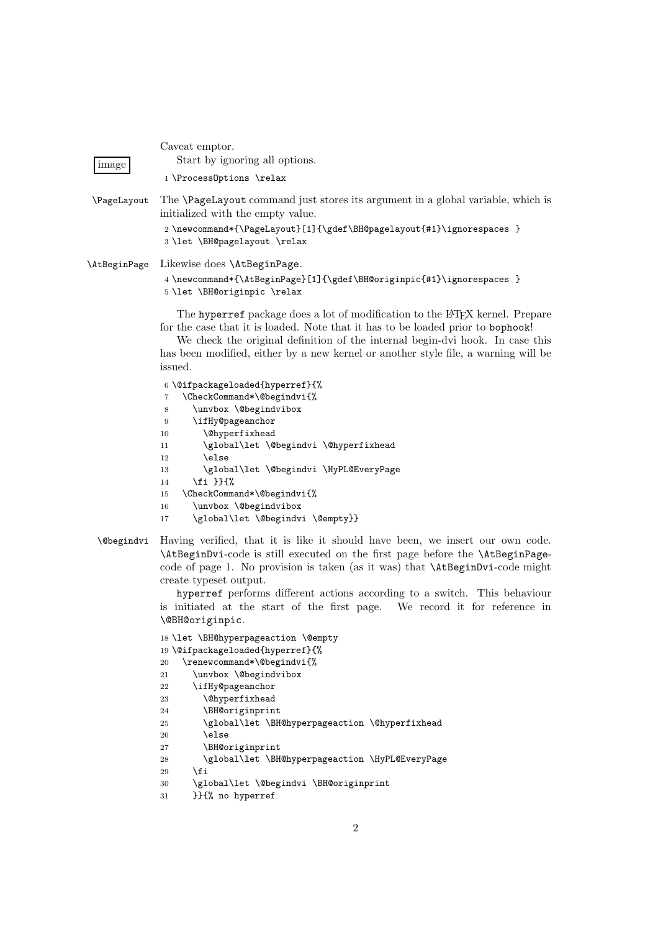| image                           | Caveat emptor.<br>Start by ignoring all options.<br>1 \ProcessOptions \relax                                                                                                                                                                                                                                                                                                                                                                                                                         |
|---------------------------------|------------------------------------------------------------------------------------------------------------------------------------------------------------------------------------------------------------------------------------------------------------------------------------------------------------------------------------------------------------------------------------------------------------------------------------------------------------------------------------------------------|
| <i><u><b>NageLayout</b></u></i> | The <b>\PageLayout</b> command just stores its argument in a global variable, which is<br>initialized with the empty value.<br>2\newcommand*{\PageLayout}[1]{\gdef\BH@pagelayout{#1}\ignorespaces }<br>3 \let \BH@pagelayout \relax                                                                                                                                                                                                                                                                  |
| <b>\AtBeginPage</b>             | Likewise does \AtBeginPage.<br>4 \newcommand*{\AtBeginPage}[1]{\gdef\BH@originpic{#1}\ignorespaces }<br>5 \let \BH@originpic \relax                                                                                                                                                                                                                                                                                                                                                                  |
|                                 | The hyperref package does a lot of modification to the L <sup>A</sup> T <sub>F</sub> X kernel. Prepare<br>for the case that it is loaded. Note that it has to be loaded prior to bophook!<br>We check the original definition of the internal begin-dvi hook. In case this<br>has been modified, either by a new kernel or another style file, a warning will be<br>issued.                                                                                                                          |
|                                 | 6\@ifpackageloaded{hyperref}{%<br>\CheckCommand*\@begindvi{%<br>7<br>\unvbox \@begindvibox<br>8<br>\ifHy@pageanchor<br>9<br><i><u><b>Ohyperfixhead</b></u></i><br>10<br>\global\let \@begindvi \@hyperfixhead<br>11<br>\else<br>12<br>\global\let \@begindvi \HyPL@EveryPage<br>13<br>14<br>\CheckCommand*\@begindvi{%<br>15<br>\unvbox \@begindvibox<br>16<br>\global\let \@begindvi \@empty}}<br>17                                                                                                |
| <i><b>\@begindvi</b></i>        | Having verified, that it is like it should have been, we insert our own code.<br>\AtBeginDvi-code is still executed on the first page before the \AtBeginPage-<br>code of page 1. No provision is taken (as it was) that <b>\AtBeginDvi</b> -code might<br>create typeset output.<br>hyperref performs different actions according to a switch. This behaviour<br>is initiated at the start of the first page. We record it for reference in<br>\@BH@originpic.                                      |
|                                 | 18 \let \BH@hyperpageaction \@empty<br>19 \@ifpackageloaded{hyperref}{%<br>\renewcommand*\@begindvi{%<br>$20\,$<br>21<br>\unvbox \@begindvibox<br>22<br>\ifHy@pageanchor<br><i><u><b>Nehyperfixhead</b></u></i><br>23<br>\BH@originprint<br>24<br>\global\let \BH@hyperpageaction \@hyperfixhead<br>25<br>\else<br>26<br>\BH@originprint<br>27<br>\global\let \BH@hyperpageaction \HyPL@EveryPage<br>$\bf 28$<br>\fi<br>29<br>\global\let \@begindvi \BH@originprint<br>30<br>}}{% no hyperref<br>31 |